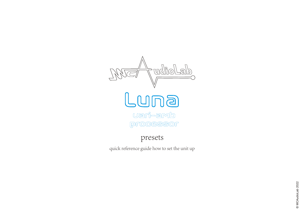

presets

quick reference guide how to set the unit up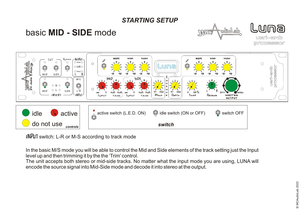#### *STARTING SETUP*

# basic **MID - SIDE** mode







INPUT switch: L-R or M-S according to track mode

In the basic M/S mode you will be able to control the Mid and Side elements of the track setting just the Input level up and then trimming it by the the 'Trim' control.

The unit accepts both stereo or mid-side tracks. No matter what the input mode you are using, LUNA will encode the source signal into Mid-Side mode and decode it into stereo at the output.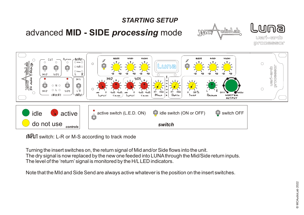

INPUT switch: L-R or M-S according to track mode

Turning the insert switches on, the return signal of Mid and/or Side flows into the unit. The dry signal is now replaced by the new one feeded into LUNAthrough the Mid/Side return inputs. The level of the 'return' signal is monitored by the H/LLED indicators.

Note that the MId and Side Send are always active whatever is the position on the insert switches.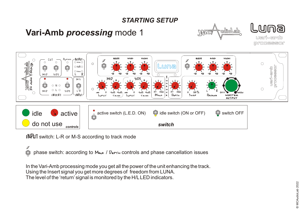### *STARTING SETUP*

## **Vari-Amb** *processing* mode 1







INPUT switch: L-R or M-S according to track mode

Ø  $\mathbb{Q}$ phase switch: according to  $M_{0.00}$  /  $D_{EPTH}$  controls and phase cancellation issues

In the Vari-Amb processing mode you get all the power of the unit enhancing the track. Using the Insert signal you get more degrees of freedom from LUNA. The level of the 'return' signal is monitored by the H/LLED indicators.